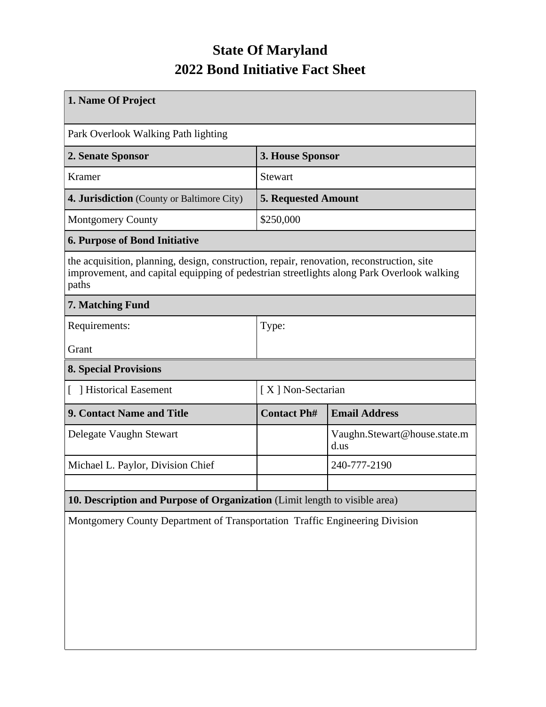## **State Of Maryland 2022 Bond Initiative Fact Sheet**

| 1. Name Of Project                                                                                                                                                                              |                            |                                      |  |  |  |
|-------------------------------------------------------------------------------------------------------------------------------------------------------------------------------------------------|----------------------------|--------------------------------------|--|--|--|
| Park Overlook Walking Path lighting                                                                                                                                                             |                            |                                      |  |  |  |
| 2. Senate Sponsor                                                                                                                                                                               | 3. House Sponsor           |                                      |  |  |  |
| Kramer                                                                                                                                                                                          | <b>Stewart</b>             |                                      |  |  |  |
| <b>4. Jurisdiction</b> (County or Baltimore City)                                                                                                                                               | <b>5. Requested Amount</b> |                                      |  |  |  |
| <b>Montgomery County</b>                                                                                                                                                                        | \$250,000                  |                                      |  |  |  |
| <b>6. Purpose of Bond Initiative</b>                                                                                                                                                            |                            |                                      |  |  |  |
| the acquisition, planning, design, construction, repair, renovation, reconstruction, site<br>improvement, and capital equipping of pedestrian streetlights along Park Overlook walking<br>paths |                            |                                      |  |  |  |
| 7. Matching Fund                                                                                                                                                                                |                            |                                      |  |  |  |
| Requirements:                                                                                                                                                                                   | Type:                      |                                      |  |  |  |
| Grant                                                                                                                                                                                           |                            |                                      |  |  |  |
| <b>8. Special Provisions</b>                                                                                                                                                                    |                            |                                      |  |  |  |
| [ ] Historical Easement                                                                                                                                                                         | [X] Non-Sectarian          |                                      |  |  |  |
| 9. Contact Name and Title                                                                                                                                                                       | <b>Contact Ph#</b>         | <b>Email Address</b>                 |  |  |  |
| Delegate Vaughn Stewart                                                                                                                                                                         |                            | Vaughn.Stewart@house.state.m<br>d.us |  |  |  |
| Michael L. Paylor, Division Chief                                                                                                                                                               |                            | 240-777-2190                         |  |  |  |
|                                                                                                                                                                                                 |                            |                                      |  |  |  |
| 10. Description and Purpose of Organization (Limit length to visible area)                                                                                                                      |                            |                                      |  |  |  |
| Montgomery County Department of Transportation Traffic Engineering Division                                                                                                                     |                            |                                      |  |  |  |
|                                                                                                                                                                                                 |                            |                                      |  |  |  |
|                                                                                                                                                                                                 |                            |                                      |  |  |  |
|                                                                                                                                                                                                 |                            |                                      |  |  |  |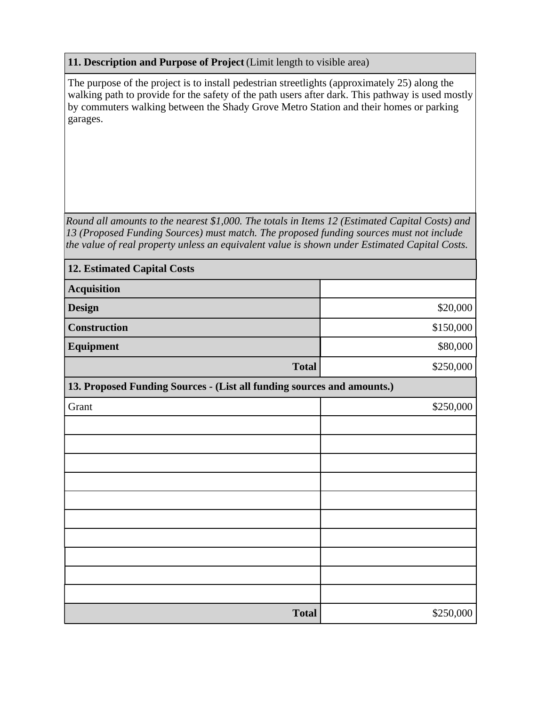## **11. Description and Purpose of Project** (Limit length to visible area)

The purpose of the project is to install pedestrian streetlights (approximately 25) along the walking path to provide for the safety of the path users after dark. This pathway is used mostly by commuters walking between the Shady Grove Metro Station and their homes or parking garages.

*Round all amounts to the nearest \$1,000. The totals in Items 12 (Estimated Capital Costs) and 13 (Proposed Funding Sources) must match. The proposed funding sources must not include the value of real property unless an equivalent value is shown under Estimated Capital Costs.*

| <b>12. Estimated Capital Costs</b>                                     |           |  |  |  |  |
|------------------------------------------------------------------------|-----------|--|--|--|--|
| <b>Acquisition</b>                                                     |           |  |  |  |  |
| <b>Design</b>                                                          | \$20,000  |  |  |  |  |
| <b>Construction</b>                                                    | \$150,000 |  |  |  |  |
| Equipment                                                              | \$80,000  |  |  |  |  |
| <b>Total</b>                                                           | \$250,000 |  |  |  |  |
| 13. Proposed Funding Sources - (List all funding sources and amounts.) |           |  |  |  |  |
| Grant                                                                  | \$250,000 |  |  |  |  |
|                                                                        |           |  |  |  |  |
|                                                                        |           |  |  |  |  |
|                                                                        |           |  |  |  |  |
|                                                                        |           |  |  |  |  |
|                                                                        |           |  |  |  |  |
|                                                                        |           |  |  |  |  |
|                                                                        |           |  |  |  |  |
|                                                                        |           |  |  |  |  |
|                                                                        |           |  |  |  |  |
|                                                                        |           |  |  |  |  |
| <b>Total</b>                                                           | \$250,000 |  |  |  |  |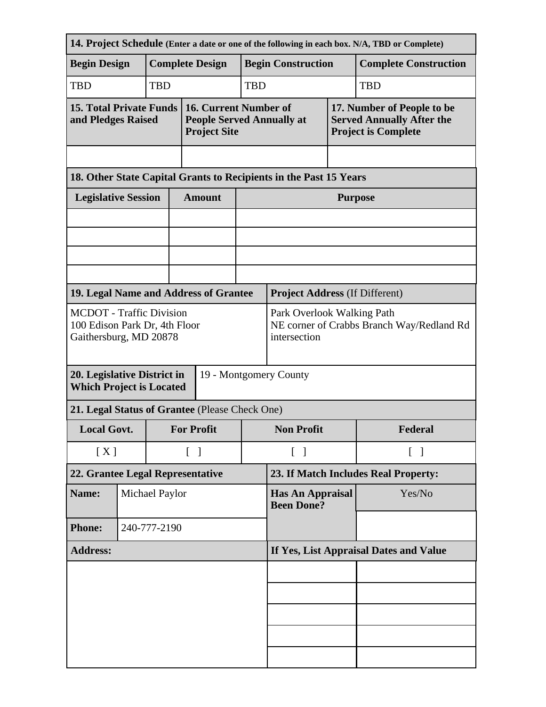| 14. Project Schedule (Enter a date or one of the following in each box. N/A, TBD or Complete)                                                       |                                          |            |                                                                                  |                                                                                         |            |                                                                                              |                |                              |  |
|-----------------------------------------------------------------------------------------------------------------------------------------------------|------------------------------------------|------------|----------------------------------------------------------------------------------|-----------------------------------------------------------------------------------------|------------|----------------------------------------------------------------------------------------------|----------------|------------------------------|--|
| <b>Begin Design</b>                                                                                                                                 |                                          |            | <b>Complete Design</b>                                                           |                                                                                         |            | <b>Begin Construction</b>                                                                    |                | <b>Complete Construction</b> |  |
| <b>TBD</b>                                                                                                                                          |                                          | <b>TBD</b> |                                                                                  |                                                                                         | <b>TBD</b> | <b>TBD</b>                                                                                   |                |                              |  |
| <b>15. Total Private Funds</b><br>and Pledges Raised                                                                                                |                                          |            | 16. Current Number of<br><b>People Served Annually at</b><br><b>Project Site</b> |                                                                                         |            | 17. Number of People to be<br><b>Served Annually After the</b><br><b>Project is Complete</b> |                |                              |  |
|                                                                                                                                                     |                                          |            |                                                                                  |                                                                                         |            |                                                                                              |                |                              |  |
| 18. Other State Capital Grants to Recipients in the Past 15 Years                                                                                   |                                          |            |                                                                                  |                                                                                         |            |                                                                                              |                |                              |  |
| <b>Legislative Session</b>                                                                                                                          |                                          |            |                                                                                  | <b>Amount</b>                                                                           |            |                                                                                              | <b>Purpose</b> |                              |  |
|                                                                                                                                                     |                                          |            |                                                                                  |                                                                                         |            |                                                                                              |                |                              |  |
|                                                                                                                                                     |                                          |            |                                                                                  |                                                                                         |            |                                                                                              |                |                              |  |
|                                                                                                                                                     |                                          |            |                                                                                  |                                                                                         |            |                                                                                              |                |                              |  |
| 19. Legal Name and Address of Grantee                                                                                                               |                                          |            |                                                                                  |                                                                                         |            | <b>Project Address (If Different)</b>                                                        |                |                              |  |
| <b>MCDOT</b> - Traffic Division<br>100 Edison Park Dr, 4th Floor<br>Gaithersburg, MD 20878<br>20. Legislative District in<br>19 - Montgomery County |                                          |            |                                                                                  | Park Overlook Walking Path<br>NE corner of Crabbs Branch Way/Redland Rd<br>intersection |            |                                                                                              |                |                              |  |
| <b>Which Project is Located</b>                                                                                                                     |                                          |            |                                                                                  |                                                                                         |            |                                                                                              |                |                              |  |
| 21. Legal Status of Grantee (Please Check One)                                                                                                      |                                          |            |                                                                                  |                                                                                         |            |                                                                                              |                |                              |  |
| <b>Local Govt.</b>                                                                                                                                  |                                          |            | <b>For Profit</b>                                                                |                                                                                         |            | <b>Non Profit</b>                                                                            |                | Federal                      |  |
|                                                                                                                                                     | [X]<br>$\begin{bmatrix} 1 \end{bmatrix}$ |            |                                                                                  | $\lceil \; \rceil$<br>$\lceil$ 1                                                        |            |                                                                                              |                |                              |  |
| 22. Grantee Legal Representative                                                                                                                    |                                          |            | 23. If Match Includes Real Property:                                             |                                                                                         |            |                                                                                              |                |                              |  |
| Name:                                                                                                                                               | Michael Paylor                           |            |                                                                                  |                                                                                         |            | <b>Has An Appraisal</b><br><b>Been Done?</b>                                                 |                | Yes/No                       |  |
| <b>Phone:</b>                                                                                                                                       | 240-777-2190                             |            |                                                                                  |                                                                                         |            |                                                                                              |                |                              |  |
| <b>Address:</b>                                                                                                                                     |                                          |            | If Yes, List Appraisal Dates and Value                                           |                                                                                         |            |                                                                                              |                |                              |  |
|                                                                                                                                                     |                                          |            |                                                                                  |                                                                                         |            |                                                                                              |                |                              |  |
|                                                                                                                                                     |                                          |            |                                                                                  |                                                                                         |            |                                                                                              |                |                              |  |
|                                                                                                                                                     |                                          |            |                                                                                  |                                                                                         |            |                                                                                              |                |                              |  |
|                                                                                                                                                     |                                          |            |                                                                                  |                                                                                         |            |                                                                                              |                |                              |  |
|                                                                                                                                                     |                                          |            |                                                                                  |                                                                                         |            |                                                                                              |                |                              |  |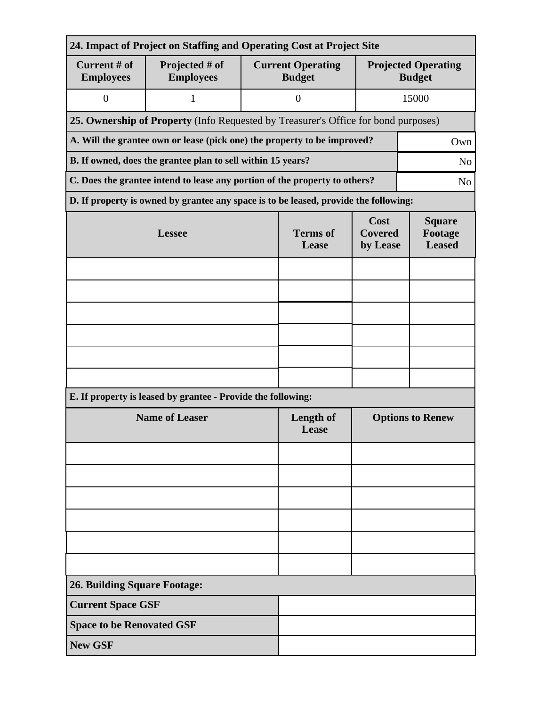| 24. Impact of Project on Staffing and Operating Cost at Project Site            |                                                                                              |                          |                                           |                                             |       |  |  |
|---------------------------------------------------------------------------------|----------------------------------------------------------------------------------------------|--------------------------|-------------------------------------------|---------------------------------------------|-------|--|--|
| Current # of<br><b>Employees</b>                                                | Projected # of<br><b>Employees</b>                                                           |                          | <b>Current Operating</b><br><b>Budget</b> | <b>Projected Operating</b><br><b>Budget</b> |       |  |  |
| $\boldsymbol{0}$                                                                | $\mathbf{1}$                                                                                 |                          | $\overline{0}$                            |                                             | 15000 |  |  |
|                                                                                 | 25. Ownership of Property (Info Requested by Treasurer's Office for bond purposes)           |                          |                                           |                                             |       |  |  |
| A. Will the grantee own or lease (pick one) the property to be improved?<br>Own |                                                                                              |                          |                                           |                                             |       |  |  |
| B. If owned, does the grantee plan to sell within 15 years?<br>N <sub>o</sub>   |                                                                                              |                          |                                           |                                             |       |  |  |
|                                                                                 | C. Does the grantee intend to lease any portion of the property to others?<br>N <sub>0</sub> |                          |                                           |                                             |       |  |  |
|                                                                                 | D. If property is owned by grantee any space is to be leased, provide the following:         |                          |                                           |                                             |       |  |  |
|                                                                                 | <b>Lessee</b>                                                                                | <b>Terms</b> of<br>Lease | Cost<br><b>Covered</b><br>by Lease        | <b>Square</b><br>Footage<br><b>Leased</b>   |       |  |  |
|                                                                                 |                                                                                              |                          |                                           |                                             |       |  |  |
|                                                                                 |                                                                                              |                          |                                           |                                             |       |  |  |
|                                                                                 |                                                                                              |                          |                                           |                                             |       |  |  |
|                                                                                 |                                                                                              |                          |                                           |                                             |       |  |  |
|                                                                                 |                                                                                              |                          |                                           |                                             |       |  |  |
|                                                                                 |                                                                                              |                          |                                           |                                             |       |  |  |
| E. If property is leased by grantee - Provide the following:                    |                                                                                              |                          |                                           |                                             |       |  |  |
| <b>Name of Leaser</b>                                                           |                                                                                              |                          | Length of<br>Lease                        | <b>Options to Renew</b>                     |       |  |  |
|                                                                                 |                                                                                              |                          |                                           |                                             |       |  |  |
|                                                                                 |                                                                                              |                          |                                           |                                             |       |  |  |
|                                                                                 |                                                                                              |                          |                                           |                                             |       |  |  |
|                                                                                 |                                                                                              |                          |                                           |                                             |       |  |  |
|                                                                                 |                                                                                              |                          |                                           |                                             |       |  |  |
|                                                                                 |                                                                                              |                          |                                           |                                             |       |  |  |
| <b>26. Building Square Footage:</b>                                             |                                                                                              |                          |                                           |                                             |       |  |  |
| <b>Current Space GSF</b>                                                        |                                                                                              |                          |                                           |                                             |       |  |  |
| <b>Space to be Renovated GSF</b>                                                |                                                                                              |                          |                                           |                                             |       |  |  |
| <b>New GSF</b>                                                                  |                                                                                              |                          |                                           |                                             |       |  |  |